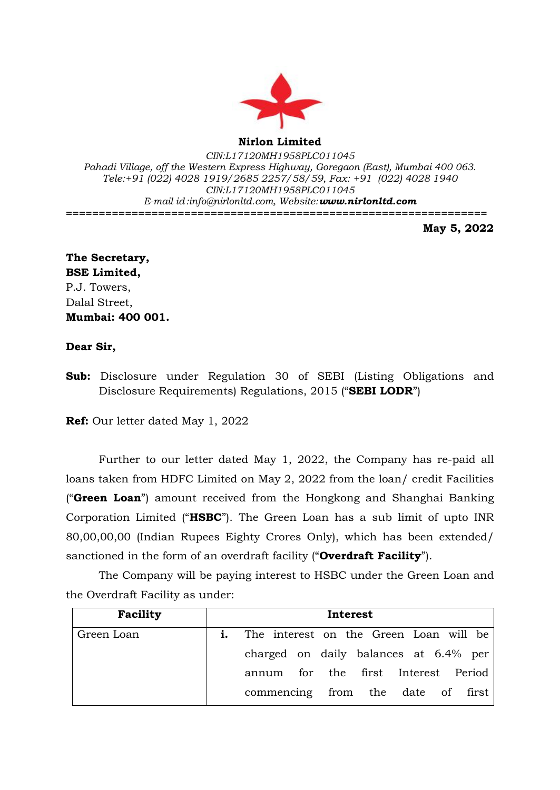

**Nirlon Limited**

*CIN:L17120MH1958PLC011045 Pahadi Village, off the Western Express Highway, Goregaon (East), Mumbai 400 063. Tele:+91 (022) 4028 1919/2685 2257/58/59, Fax: +91 (022) 4028 1940 CIN:L17120MH1958PLC011045 E-mail id[:info@nirlonltd.com,](mailto:info@nirlonltd.com) Website:[www.nirlonltd.com](http://www.nirlonltd.com/)* **================================================================**

**May 5, 2022**

## **The Secretary, BSE Limited,** P.J. Towers, Dalal Street, **Mumbai: 400 001.**

## **Dear Sir,**

**Sub:** Disclosure under Regulation 30 of SEBI (Listing Obligations and Disclosure Requirements) Regulations, 2015 ("**SEBI LODR**")

**Ref:** Our letter dated May 1, 2022

Further to our letter dated May 1, 2022, the Company has re-paid all loans taken from HDFC Limited on May 2, 2022 from the loan/ credit Facilities ("**Green Loan**") amount received from the Hongkong and Shanghai Banking Corporation Limited ("**HSBC**"). The Green Loan has a sub limit of upto INR 80,00,00,00 (Indian Rupees Eighty Crores Only), which has been extended/ sanctioned in the form of an overdraft facility ("**Overdraft Facility**").

The Company will be paying interest to HSBC under the Green Loan and the Overdraft Facility as under:

| Facility   | Interest |                                                  |  |  |  |  |  |
|------------|----------|--------------------------------------------------|--|--|--|--|--|
| Green Loan |          | <b>i.</b> The interest on the Green Loan will be |  |  |  |  |  |
|            |          | charged on daily balances at 6.4% per            |  |  |  |  |  |
|            |          | annum for the first Interest Period              |  |  |  |  |  |
|            |          | commencing from the date of first                |  |  |  |  |  |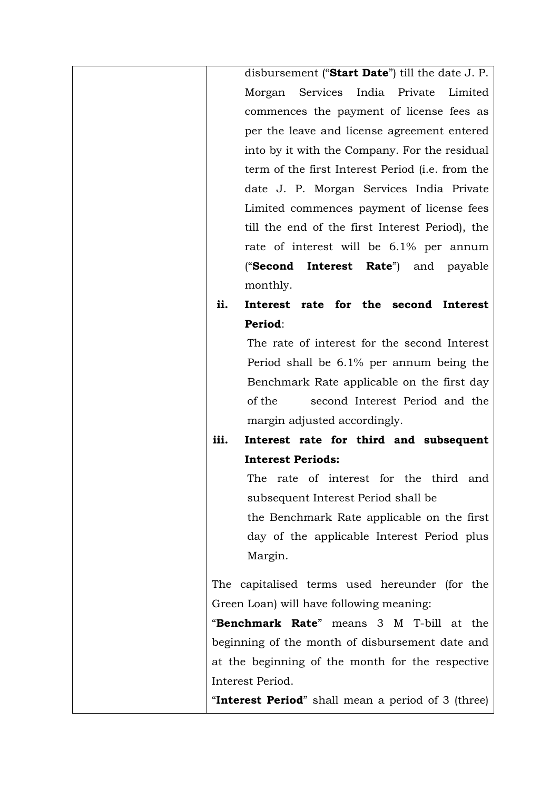| disbursement ("Start Date") till the date J. P.    |
|----------------------------------------------------|
| Morgan Services India Private<br>Limited           |
| commences the payment of license fees as           |
| per the leave and license agreement entered        |
| into by it with the Company. For the residual      |
| term of the first Interest Period (i.e. from the   |
| date J. P. Morgan Services India Private           |
| Limited commences payment of license fees          |
| till the end of the first Interest Period), the    |
| rate of interest will be 6.1% per annum            |
| ("Second Interest Rate") and payable               |
| monthly.                                           |
| ii.<br>Interest rate for the second Interest       |
| Period:                                            |
| The rate of interest for the second Interest       |
| Period shall be 6.1% per annum being the           |
| Benchmark Rate applicable on the first day         |
| of the<br>second Interest Period and the           |
| margin adjusted accordingly.                       |
| iii.<br>Interest rate for third and subsequent     |
| <b>Interest Periods:</b>                           |
| rate of interest for the third and<br>The          |
| subsequent Interest Period shall be                |
| the Benchmark Rate applicable on the first         |
| day of the applicable Interest Period plus         |
| Margin.                                            |
|                                                    |
| The capitalised terms used hereunder (for the      |
| Green Loan) will have following meaning:           |
| "Benchmark Rate" means 3 M T-bill at the           |
| beginning of the month of disbursement date and    |
| at the beginning of the month for the respective   |
| Interest Period.                                   |
| "Interest Period" shall mean a period of 3 (three) |
|                                                    |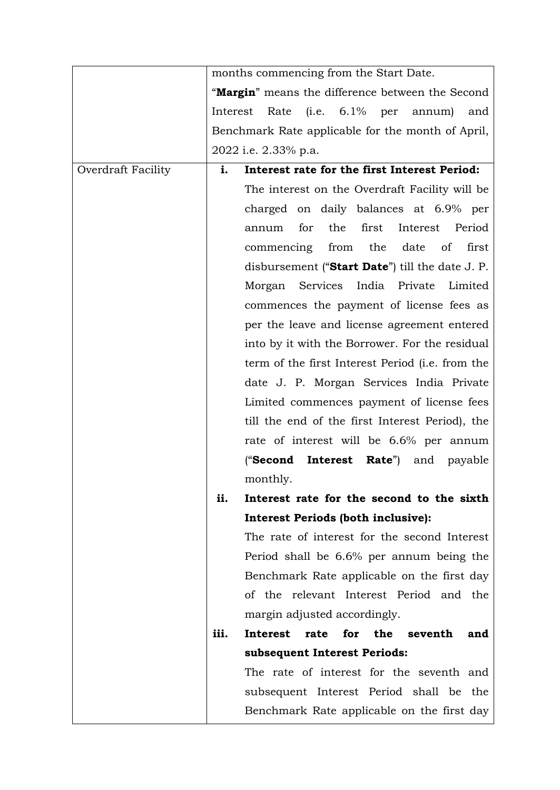|                    | months commencing from the Start Date.             |                                 |
|--------------------|----------------------------------------------------|---------------------------------|
|                    | "Margin" means the difference between the Second   |                                 |
|                    | Interest<br>Rate (i.e. 6.1% per annum)             | and                             |
|                    | Benchmark Rate applicable for the month of April,  |                                 |
|                    | 2022 i.e. 2.33% p.a.                               |                                 |
| Overdraft Facility | Interest rate for the first Interest Period:<br>i. |                                 |
|                    | The interest on the Overdraft Facility will be     |                                 |
|                    | charged on daily balances at 6.9% per              |                                 |
|                    | first<br>for<br>the<br>annum                       | Interest<br>Period              |
|                    | commencing from                                    | the date<br>$\circ$ of<br>first |
|                    | disbursement ("Start Date") till the date J. P.    |                                 |
|                    | Morgan Services India Private                      | Limited                         |
|                    | commences the payment of license fees as           |                                 |
|                    | per the leave and license agreement entered        |                                 |
|                    | into by it with the Borrower. For the residual     |                                 |
|                    | term of the first Interest Period (i.e. from the   |                                 |
|                    | date J. P. Morgan Services India Private           |                                 |
|                    | Limited commences payment of license fees          |                                 |
|                    | till the end of the first Interest Period), the    |                                 |
|                    | rate of interest will be 6.6% per annum            |                                 |
|                    | ("Second<br>Interest                               | <b>Rate</b> ") and payable      |
|                    | monthly.                                           |                                 |
|                    | Interest rate for the second to the sixth<br>ii.   |                                 |
|                    | <b>Interest Periods (both inclusive):</b>          |                                 |
|                    | The rate of interest for the second Interest       |                                 |
|                    | Period shall be 6.6% per annum being the           |                                 |
|                    | Benchmark Rate applicable on the first day         |                                 |
|                    | of the relevant Interest Period and the            |                                 |
|                    | margin adjusted accordingly.                       |                                 |
|                    | iii.<br>Interest<br>rate<br>for                    | the seventh<br>and              |
|                    | subsequent Interest Periods:                       |                                 |
|                    | The rate of interest for the seventh and           |                                 |
|                    | subsequent Interest Period shall be the            |                                 |
|                    | Benchmark Rate applicable on the first day         |                                 |